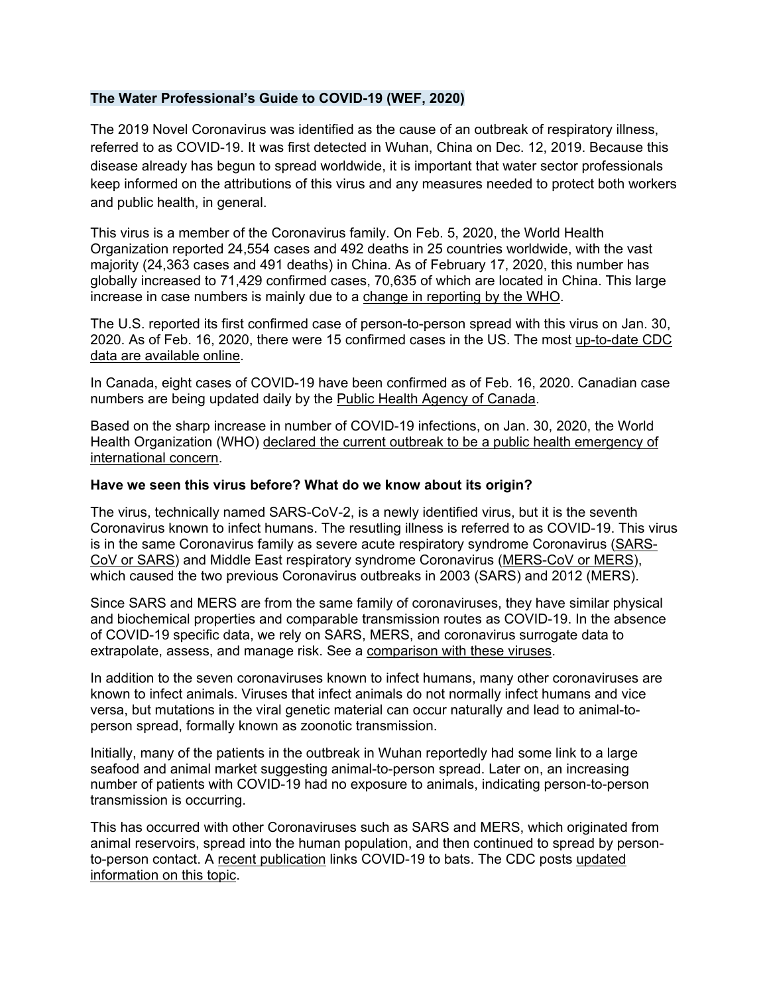#### **The Water Professional's Guide to COVID-19 (WEF, 2020)**

The 2019 Novel Coronavirus was identified as the cause of an outbreak of respiratory illness, referred to as COVID-19. It was first detected in Wuhan, China on Dec. 12, 2019. Because this disease already has begun to spread worldwide, it is important that water sector professionals keep informed on the attributions of this virus and any measures needed to protect both workers and public health, in general.

This virus is a member of the Coronavirus family. On Feb. 5, 2020, the World Health Organization reported 24,554 cases and 492 deaths in 25 countries worldwide, with the vast majority (24,363 cases and 491 deaths) in China. As of February 17, 2020, this number has globally increased to 71,429 confirmed cases, 70,635 of which are located in China. This large increase in case numbers is mainly due to a change in reporting by the WHO.

The U.S. reported its first confirmed case of person-to-person spread with this virus on Jan. 30, 2020. As of Feb. 16, 2020, there were 15 confirmed cases in the US. The most up-to-date CDC data are available online.

In Canada, eight cases of COVID-19 have been confirmed as of Feb. 16, 2020. Canadian case numbers are being updated daily by the Public Health Agency of Canada.

Based on the sharp increase in number of COVID-19 infections, on Jan. 30, 2020, the World Health Organization (WHO) declared the current outbreak to be a public health emergency of international concern.

#### **Have we seen this virus before? What do we know about its origin?**

The virus, technically named SARS-CoV-2, is a newly identified virus, but it is the seventh Coronavirus known to infect humans. The resutling illness is referred to as COVID-19. This virus is in the same Coronavirus family as severe acute respiratory syndrome Coronavirus (SARS-CoV or SARS) and Middle East respiratory syndrome Coronavirus (MERS-CoV or MERS), which caused the two previous Coronavirus outbreaks in 2003 (SARS) and 2012 (MERS).

Since SARS and MERS are from the same family of coronaviruses, they have similar physical and biochemical properties and comparable transmission routes as COVID-19. In the absence of COVID-19 specific data, we rely on SARS, MERS, and coronavirus surrogate data to extrapolate, assess, and manage risk. See a comparison with these viruses.

In addition to the seven coronaviruses known to infect humans, many other coronaviruses are known to infect animals. Viruses that infect animals do not normally infect humans and vice versa, but mutations in the viral genetic material can occur naturally and lead to animal-toperson spread, formally known as zoonotic transmission.

Initially, many of the patients in the outbreak in Wuhan reportedly had some link to a large seafood and animal market suggesting animal-to-person spread. Later on, an increasing number of patients with COVID-19 had no exposure to animals, indicating person-to-person transmission is occurring.

This has occurred with other Coronaviruses such as SARS and MERS, which originated from animal reservoirs, spread into the human population, and then continued to spread by personto-person contact. A recent publication links COVID-19 to bats. The CDC posts updated information on this topic.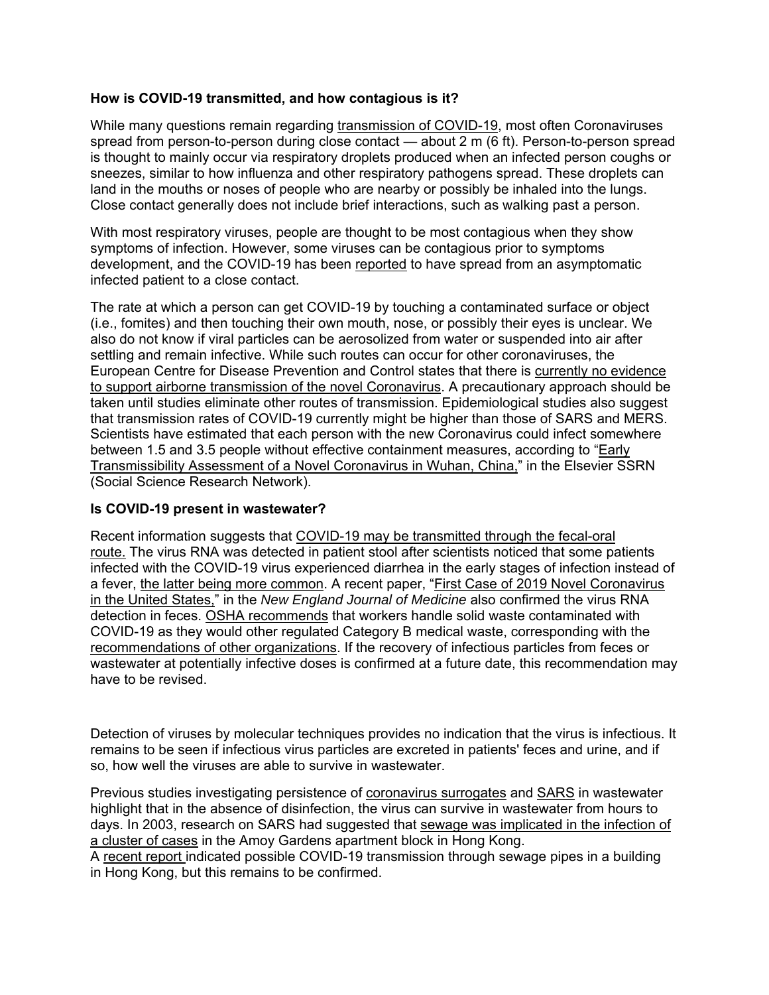#### **How is COVID-19 transmitted, and how contagious is it?**

While many questions remain regarding transmission of COVID-19, most often Coronaviruses spread from person-to-person during close contact — about  $2 \text{ m}$  (6 ft). Person-to-person spread is thought to mainly occur via respiratory droplets produced when an infected person coughs or sneezes, similar to how influenza and other respiratory pathogens spread. These droplets can land in the mouths or noses of people who are nearby or possibly be inhaled into the lungs. Close contact generally does not include brief interactions, such as walking past a person.

With most respiratory viruses, people are thought to be most contagious when they show symptoms of infection. However, some viruses can be contagious prior to symptoms development, and the COVID-19 has been reported to have spread from an asymptomatic infected patient to a close contact.

The rate at which a person can get COVID-19 by touching a contaminated surface or object (i.e., fomites) and then touching their own mouth, nose, or possibly their eyes is unclear. We also do not know if viral particles can be aerosolized from water or suspended into air after settling and remain infective. While such routes can occur for other coronaviruses, the European Centre for Disease Prevention and Control states that there is currently no evidence to support airborne transmission of the novel Coronavirus. A precautionary approach should be taken until studies eliminate other routes of transmission. Epidemiological studies also suggest that transmission rates of COVID-19 currently might be higher than those of SARS and MERS. Scientists have estimated that each person with the new Coronavirus could infect somewhere between 1.5 and 3.5 people without effective containment measures, according to "Early Transmissibility Assessment of a Novel Coronavirus in Wuhan, China," in the Elsevier SSRN (Social Science Research Network).

#### **Is COVID-19 present in wastewater?**

Recent information suggests that COVID-19 may be transmitted through the fecal-oral route. The virus RNA was detected in patient stool after scientists noticed that some patients infected with the COVID-19 virus experienced diarrhea in the early stages of infection instead of a fever, the latter being more common. A recent paper, "First Case of 2019 Novel Coronavirus in the United States," in the *New England Journal of Medicine* also confirmed the virus RNA detection in feces. OSHA recommends that workers handle solid waste contaminated with COVID-19 as they would other regulated Category B medical waste, corresponding with the recommendations of other organizations. If the recovery of infectious particles from feces or wastewater at potentially infective doses is confirmed at a future date, this recommendation may have to be revised.

Detection of viruses by molecular techniques provides no indication that the virus is infectious. It remains to be seen if infectious virus particles are excreted in patients' feces and urine, and if so, how well the viruses are able to survive in wastewater.

Previous studies investigating persistence of coronavirus surrogates and SARS in wastewater highlight that in the absence of disinfection, the virus can survive in wastewater from hours to days. In 2003, research on SARS had suggested that sewage was implicated in the infection of a cluster of cases in the Amoy Gardens apartment block in Hong Kong.

A recent report indicated possible COVID-19 transmission through sewage pipes in a building in Hong Kong, but this remains to be confirmed.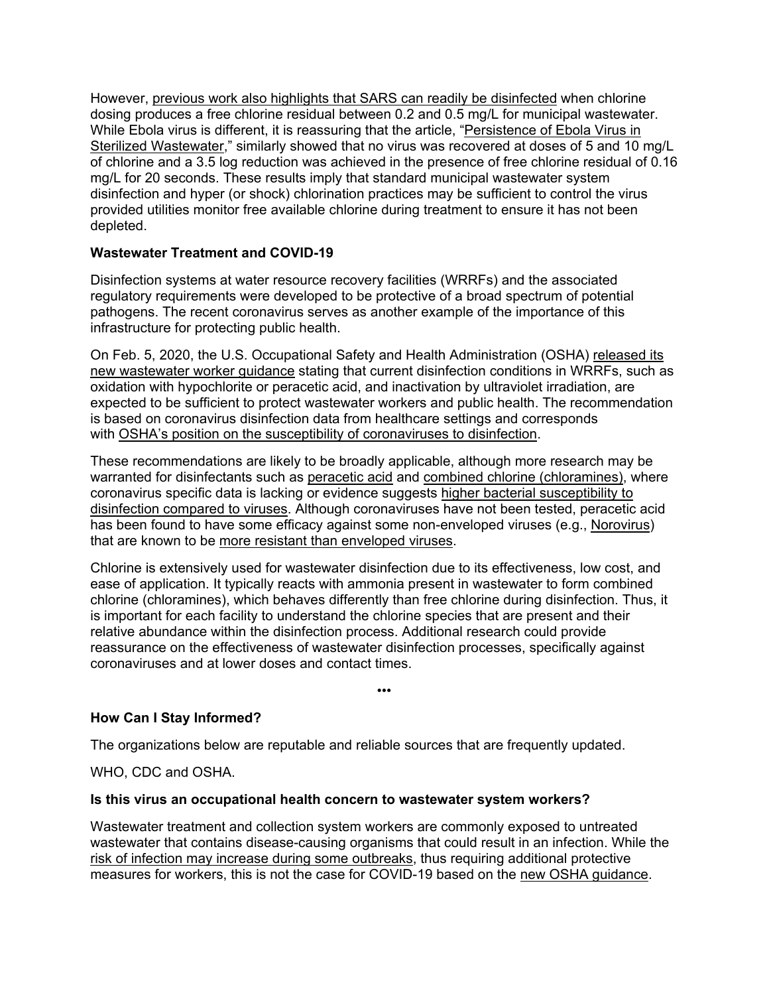However, previous work also highlights that SARS can readily be disinfected when chlorine dosing produces a free chlorine residual between 0.2 and 0.5 mg/L for municipal wastewater. While Ebola virus is different, it is reassuring that the article, "Persistence of Ebola Virus in Sterilized Wastewater," similarly showed that no virus was recovered at doses of 5 and 10 mg/L of chlorine and a 3.5 log reduction was achieved in the presence of free chlorine residual of 0.16 mg/L for 20 seconds. These results imply that standard municipal wastewater system disinfection and hyper (or shock) chlorination practices may be sufficient to control the virus provided utilities monitor free available chlorine during treatment to ensure it has not been depleted.

### **Wastewater Treatment and COVID-19**

Disinfection systems at water resource recovery facilities (WRRFs) and the associated regulatory requirements were developed to be protective of a broad spectrum of potential pathogens. The recent coronavirus serves as another example of the importance of this infrastructure for protecting public health.

On Feb. 5, 2020, the U.S. Occupational Safety and Health Administration (OSHA) released its new wastewater worker guidance stating that current disinfection conditions in WRRFs, such as oxidation with hypochlorite or peracetic acid, and inactivation by ultraviolet irradiation, are expected to be sufficient to protect wastewater workers and public health. The recommendation is based on coronavirus disinfection data from healthcare settings and corresponds with OSHA's position on the susceptibility of coronaviruses to disinfection.

These recommendations are likely to be broadly applicable, although more research may be warranted for disinfectants such as peracetic acid and combined chlorine (chloramines), where coronavirus specific data is lacking or evidence suggests higher bacterial susceptibility to disinfection compared to viruses. Although coronaviruses have not been tested, peracetic acid has been found to have some efficacy against some non-enveloped viruses (e.g., Norovirus) that are known to be more resistant than enveloped viruses.

Chlorine is extensively used for wastewater disinfection due to its effectiveness, low cost, and ease of application. It typically reacts with ammonia present in wastewater to form combined chlorine (chloramines), which behaves differently than free chlorine during disinfection. Thus, it is important for each facility to understand the chlorine species that are present and their relative abundance within the disinfection process. Additional research could provide reassurance on the effectiveness of wastewater disinfection processes, specifically against coronaviruses and at lower doses and contact times.

•••

**How Can I Stay Informed?**

The organizations below are reputable and reliable sources that are frequently updated.

WHO, CDC and OSHA.

### **Is this virus an occupational health concern to wastewater system workers?**

Wastewater treatment and collection system workers are commonly exposed to untreated wastewater that contains disease-causing organisms that could result in an infection. While the risk of infection may increase during some outbreaks, thus requiring additional protective measures for workers, this is not the case for COVID-19 based on the new OSHA guidance.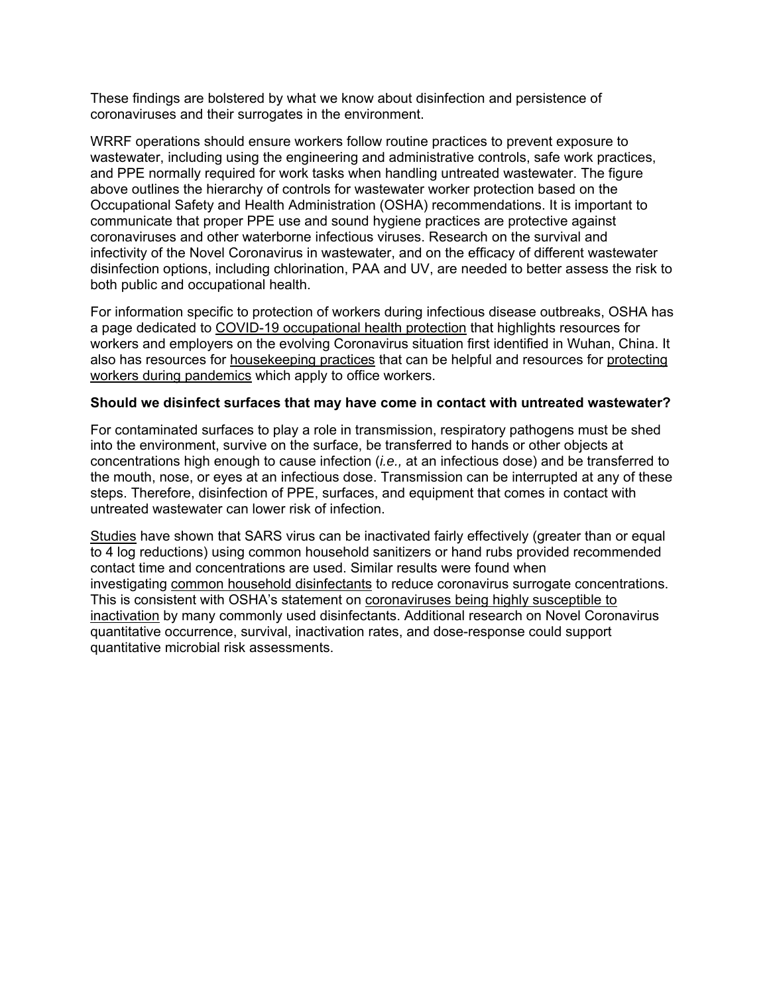These findings are bolstered by what we know about disinfection and persistence of coronaviruses and their surrogates in the environment.

WRRF operations should ensure workers follow routine practices to prevent exposure to wastewater, including using the engineering and administrative controls, safe work practices, and PPE normally required for work tasks when handling untreated wastewater. The figure above outlines the hierarchy of controls for wastewater worker protection based on the Occupational Safety and Health Administration (OSHA) recommendations. It is important to communicate that proper PPE use and sound hygiene practices are protective against coronaviruses and other waterborne infectious viruses. Research on the survival and infectivity of the Novel Coronavirus in wastewater, and on the efficacy of different wastewater disinfection options, including chlorination, PAA and UV, are needed to better assess the risk to both public and occupational health.

For information specific to protection of workers during infectious disease outbreaks, OSHA has a page dedicated to COVID-19 occupational health protection that highlights resources for workers and employers on the evolving Coronavirus situation first identified in Wuhan, China. It also has resources for housekeeping practices that can be helpful and resources for protecting workers during pandemics which apply to office workers.

#### **Should we disinfect surfaces that may have come in contact with untreated wastewater?**

For contaminated surfaces to play a role in transmission, respiratory pathogens must be shed into the environment, survive on the surface, be transferred to hands or other objects at concentrations high enough to cause infection (*i.e.,* at an infectious dose) and be transferred to the mouth, nose, or eyes at an infectious dose. Transmission can be interrupted at any of these steps. Therefore, disinfection of PPE, surfaces, and equipment that comes in contact with untreated wastewater can lower risk of infection.

Studies have shown that SARS virus can be inactivated fairly effectively (greater than or equal to 4 log reductions) using common household sanitizers or hand rubs provided recommended contact time and concentrations are used. Similar results were found when investigating common household disinfectants to reduce coronavirus surrogate concentrations. This is consistent with OSHA's statement on coronaviruses being highly susceptible to inactivation by many commonly used disinfectants. Additional research on Novel Coronavirus quantitative occurrence, survival, inactivation rates, and dose-response could support quantitative microbial risk assessments.